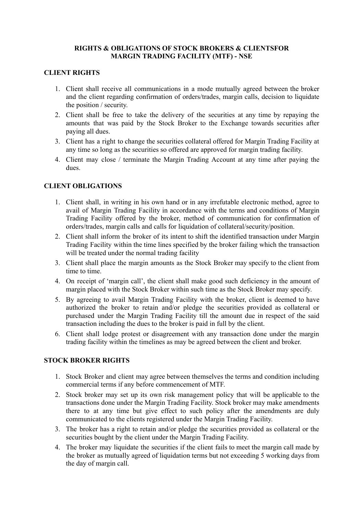## **RIGHTS & OBLIGATIONS OF STOCK BROKERS & CLIENTSFOR MARGIN TRADING FACILITY (MTF) - NSE**

## **CLIENT RIGHTS**

- 1. Client shall receive all communications in a mode mutually agreed between the broker and the client regarding confirmation of orders/trades, margin calls, decision to liquidate the position / security.
- 2. Client shall be free to take the delivery of the securities at any time by repaying the amounts that was paid by the Stock Broker to the Exchange towards securities after paying all dues.
- 3. Client has a right to change the securities collateral offered for Margin Trading Facility at any time so long as the securities so offered are approved for margin trading facility.
- 4. Client may close / terminate the Margin Trading Account at any time after paying the dues.

## **CLIENT OBLIGATIONS**

- 1. Client shall, in writing in his own hand or in any irrefutable electronic method, agree to avail of Margin Trading Facility in accordance with the terms and conditions of Margin Trading Facility offered by the broker, method of communication for confirmation of orders/trades, margin calls and calls for liquidation of collateral/security/position.
- 2. Client shall inform the broker of its intent to shift the identified transaction under Margin Trading Facility within the time lines specified by the broker failing which the transaction will be treated under the normal trading facility
- 3. Client shall place the margin amounts as the Stock Broker may specify to the client from time to time.
- 4. On receipt of 'margin call', the client shall make good such deficiency in the amount of margin placed with the Stock Broker within such time as the Stock Broker may specify.
- 5. By agreeing to avail Margin Trading Facility with the broker, client is deemed to have authorized the broker to retain and/or pledge the securities provided as collateral or purchased under the Margin Trading Facility till the amount due in respect of the said transaction including the dues to the broker is paid in full by the client.
- 6. Client shall lodge protest or disagreement with any transaction done under the margin trading facility within the timelines as may be agreed between the client and broker.

### **STOCK BROKER RIGHTS**

- 1. Stock Broker and client may agree between themselves the terms and condition including commercial terms if any before commencement of MTF.
- 2. Stock broker may set up its own risk management policy that will be applicable to the transactions done under the Margin Trading Facility. Stock broker may make amendments there to at any time but give effect to such policy after the amendments are duly communicated to the clients registered under the Margin Trading Facility.
- 3. The broker has a right to retain and/or pledge the securities provided as collateral or the securities bought by the client under the Margin Trading Facility.
- 4. The broker may liquidate the securities if the client fails to meet the margin call made by the broker as mutually agreed of liquidation terms but not exceeding 5 working days from the day of margin call.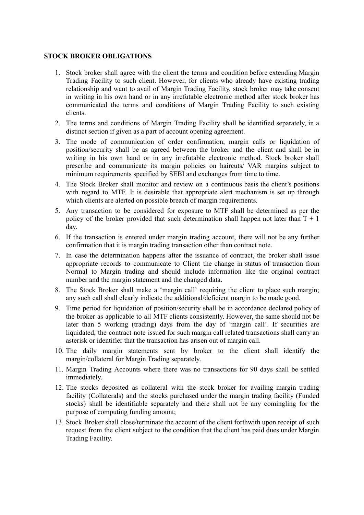#### **STOCK BROKER OBLIGATIONS**

- 1. Stock broker shall agree with the client the terms and condition before extending Margin Trading Facility to such client. However, for clients who already have existing trading relationship and want to avail of Margin Trading Facility, stock broker may take consent in writing in his own hand or in any irrefutable electronic method after stock broker has communicated the terms and conditions of Margin Trading Facility to such existing clients.
- 2. The terms and conditions of Margin Trading Facility shall be identified separately, in a distinct section if given as a part of account opening agreement.
- 3. The mode of communication of order confirmation, margin calls or liquidation of position/security shall be as agreed between the broker and the client and shall be in writing in his own hand or in any irrefutable electronic method. Stock broker shall prescribe and communicate its margin policies on haircuts/ VAR margins subject to minimum requirements specified by SEBI and exchanges from time to time.
- 4. The Stock Broker shall monitor and review on a continuous basis the client's positions with regard to MTF. It is desirable that appropriate alert mechanism is set up through which clients are alerted on possible breach of margin requirements.
- 5. Any transaction to be considered for exposure to MTF shall be determined as per the policy of the broker provided that such determination shall happen not later than  $T + 1$ day.
- 6. If the transaction is entered under margin trading account, there will not be any further confirmation that it is margin trading transaction other than contract note.
- 7. In case the determination happens after the issuance of contract, the broker shall issue appropriate records to communicate to Client the change in status of transaction from Normal to Margin trading and should include information like the original contract number and the margin statement and the changed data.
- 8. The Stock Broker shall make a 'margin call' requiring the client to place such margin; any such call shall clearly indicate the additional/deficient margin to be made good.
- 9. Time period for liquidation of position/security shall be in accordance declared policy of the broker as applicable to all MTF clients consistently. However, the same should not be later than 5 working (trading) days from the day of 'margin call'. If securities are liquidated, the contract note issued for such margin call related transactions shall carry an asterisk or identifier that the transaction has arisen out of margin call.
- 10. The daily margin statements sent by broker to the client shall identify the margin/collateral for Margin Trading separately.
- 11. Margin Trading Accounts where there was no transactions for 90 days shall be settled immediately.
- 12. The stocks deposited as collateral with the stock broker for availing margin trading facility (Collaterals) and the stocks purchased under the margin trading facility (Funded stocks) shall be identifiable separately and there shall not be any comingling for the purpose of computing funding amount;
- 13. Stock Broker shall close/terminate the account of the client forthwith upon receipt of such request from the client subject to the condition that the client has paid dues under Margin Trading Facility.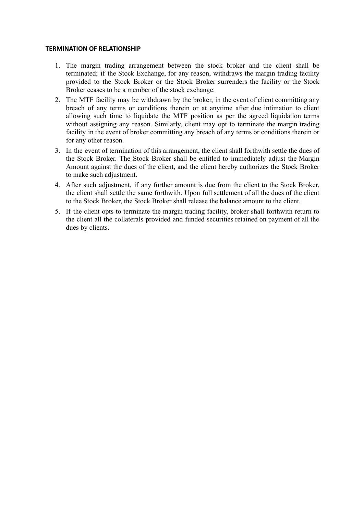#### **TERMINATION OF RELATIONSHIP**

- 1. The margin trading arrangement between the stock broker and the client shall be terminated; if the Stock Exchange, for any reason, withdraws the margin trading facility provided to the Stock Broker or the Stock Broker surrenders the facility or the Stock Broker ceases to be a member of the stock exchange.
- 2. The MTF facility may be withdrawn by the broker, in the event of client committing any breach of any terms or conditions therein or at anytime after due intimation to client allowing such time to liquidate the MTF position as per the agreed liquidation terms without assigning any reason. Similarly, client may opt to terminate the margin trading facility in the event of broker committing any breach of any terms or conditions therein or for any other reason.
- 3. In the event of termination of this arrangement, the client shall forthwith settle the dues of the Stock Broker. The Stock Broker shall be entitled to immediately adjust the Margin Amount against the dues of the client, and the client hereby authorizes the Stock Broker to make such adjustment.
- 4. After such adjustment, if any further amount is due from the client to the Stock Broker, the client shall settle the same forthwith. Upon full settlement of all the dues of the client to the Stock Broker, the Stock Broker shall release the balance amount to the client.
- 5. If the client opts to terminate the margin trading facility, broker shall forthwith return to the client all the collaterals provided and funded securities retained on payment of all the dues by clients.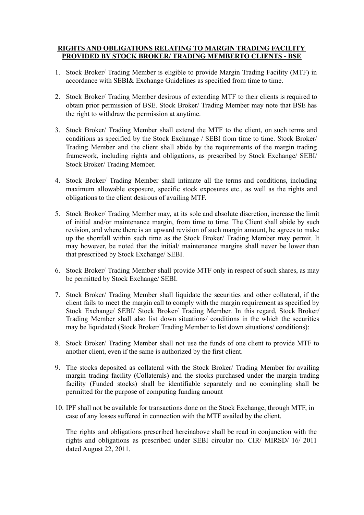## **RIGHTS AND OBLIGATIONS RELATING TO MARGIN TRADING FACILITY PROVIDED BY STOCK BROKER/ TRADING MEMBERTO CLIENTS - BSE**

- 1. Stock Broker/ Trading Member is eligible to provide Margin Trading Facility (MTF) in accordance with SEBI& Exchange Guidelines as specified from time to time.
- 2. Stock Broker/ Trading Member desirous of extending MTF to their clients is required to obtain prior permission of BSE. Stock Broker/ Trading Member may note that BSE has the right to withdraw the permission at anytime.
- 3. Stock Broker/ Trading Member shall extend the MTF to the client, on such terms and conditions as specified by the Stock Exchange / SEBI from time to time. Stock Broker/ Trading Member and the client shall abide by the requirements of the margin trading framework, including rights and obligations, as prescribed by Stock Exchange/ SEBI/ Stock Broker/ Trading Member.
- 4. Stock Broker/ Trading Member shall intimate all the terms and conditions, including maximum allowable exposure, specific stock exposures etc., as well as the rights and obligations to the client desirous of availing MTF.
- 5. Stock Broker/ Trading Member may, at its sole and absolute discretion, increase the limit of initial and/or maintenance margin, from time to time. The Client shall abide by such revision, and where there is an upward revision of such margin amount, he agrees to make up the shortfall within such time as the Stock Broker/ Trading Member may permit. It may however, be noted that the initial/ maintenance margins shall never be lower than that prescribed by Stock Exchange/ SEBI.
- 6. Stock Broker/ Trading Member shall provide MTF only in respect of such shares, as may be permitted by Stock Exchange/ SEBI.
- 7. Stock Broker/ Trading Member shall liquidate the securities and other collateral, if the client fails to meet the margin call to comply with the margin requirement as specified by Stock Exchange/ SEBI/ Stock Broker/ Trading Member. In this regard, Stock Broker/ Trading Member shall also list down situations/ conditions in the which the securities may be liquidated (Stock Broker/ Trading Member to list down situations/ conditions):
- 8. Stock Broker/ Trading Member shall not use the funds of one client to provide MTF to another client, even if the same is authorized by the first client.
- 9. The stocks deposited as collateral with the Stock Broker/ Trading Member for availing margin trading facility (Collaterals) and the stocks purchased under the margin trading facility (Funded stocks) shall be identifiable separately and no comingling shall be permitted for the purpose of computing funding amount
- 10. IPF shall not be available for transactions done on the Stock Exchange, through MTF, in case of any losses suffered in connection with the MTF availed by the client.

The rights and obligations prescribed hereinabove shall be read in conjunction with the rights and obligations as prescribed under SEBI circular no. CIR/ MIRSD/ 16/ 2011 dated August 22, 2011.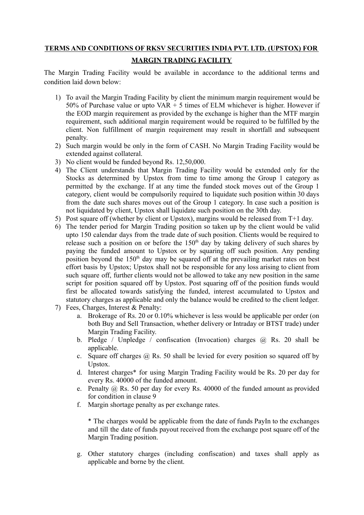## **TERMS AND CONDITIONS OF RKSV SECURITIES INDIA PVT. LTD. (UPSTOX) FOR**

# **MARGIN TRADING FACILITY**

The Margin Trading Facility would be available in accordance to the additional terms and condition laid down below:

- 1) To avail the Margin Trading Facility by client the minimum margin requirement would be 50% of Purchase value or upto  $VAR + 5$  times of ELM whichever is higher. However if the EOD margin requirement as provided by the exchange is higher than the MTF margin requirement, such additional margin requirement would be required to be fulfilled by the client. Non fulfillment of margin requirement may result in shortfall and subsequent penalty.
- 2) Such margin would be only in the form of CASH. No Margin Trading Facility would be extended against collateral.
- 3) No client would be funded beyond Rs. 12,50,000.
- 4) The Client understands that Margin Trading Facility would be extended only for the Stocks as determined by Upstox from time to time among the Group 1 category as permitted by the exchange. If at any time the funded stock moves out of the Group 1 category, client would be compulsorily required to liquidate such position within 30 days from the date such shares moves out of the Group 1 category. In case such a position is not liquidated by client, Upstox shall liquidate such position on the 30th day.
- 5) Post square off (whether by client or Upstox), margins would be released from T+1 day.
- 6) The tender period for Margin Trading position so taken up by the client would be valid upto 150 calendar days from the trade date of such position. Clients would be required to release such a position on or before the  $150<sup>th</sup>$  day by taking delivery of such shares by paying the funded amount to Upstox or by squaring off such position. Any pending position beyond the  $150<sup>th</sup>$  day may be squared off at the prevailing market rates on best effort basis by Upstox; Upstox shall not be responsible for any loss arising to client from such square off, further clients would not be allowed to take any new position in the same script for position squared off by Upstox. Post squaring off of the position funds would first be allocated towards satisfying the funded, interest accumulated to Upstox and statutory charges as applicable and only the balance would be credited to the client ledger.
- 7) Fees, Charges, Interest & Penalty:
	- a. Brokerage of Rs. 20 or 0.10% whichever is less would be applicable per order (on both Buy and Sell Transaction, whether delivery or Intraday or BTST trade) under Margin Trading Facility.
	- b. Pledge / Unpledge / confiscation (Invocation) charges  $\omega$ , Rs. 20 shall be applicable.
	- c. Square off charges  $\omega$  Rs. 50 shall be levied for every position so squared off by Upstox.
	- d. Interest charges\* for using Margin Trading Facility would be Rs. 20 per day for every Rs. 40000 of the funded amount.
	- e. Penalty @ Rs. 50 per day for every Rs. 40000 of the funded amount as provided for condition in clause 9
	- f. Margin shortage penalty as per exchange rates.

\* The charges would be applicable from the date of funds PayIn to the exchanges and till the date of funds payout received from the exchange post square off of the Margin Trading position.

g. Other statutory charges (including confiscation) and taxes shall apply as applicable and borne by the client.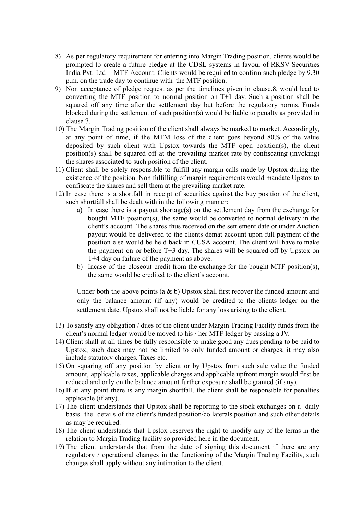- 8) As per regulatory requirement for entering into Margin Trading position, clients would be prompted to create a future pledge at the CDSL systems in favour of RKSV Securities India Pvt. Ltd – MTF Account. Clients would be required to confirm such pledge by 9.30 p.m. on the trade day to continue with the MTF position.
- 9) Non acceptance of pledge request as per the timelines given in clause.8, would lead to converting the MTF position to normal position on T+1 day. Such a position shall be squared off any time after the settlement day but before the regulatory norms. Funds blocked during the settlement of such position(s) would be liable to penalty as provided in clause 7.
- 10) The Margin Trading position of the client shall always be marked to market. Accordingly, at any point of time, if the MTM loss of the client goes beyond 80% of the value deposited by such client with Upstox towards the MTF open position(s), the client position(s) shall be squared off at the prevailing market rate by confiscating (invoking) the shares associated to such position of the client.
- 11) Client shall be solely responsible to fulfill any margin calls made by Upstox during the existence of the position. Non fulfilling of margin requirements would mandate Upstox to confiscate the shares and sell them at the prevailing market rate.
- 12) In case there is a shortfall in receipt of securities against the buy position of the client, such shortfall shall be dealt with in the following manner:
	- a) In case there is a payout shortage(s) on the settlement day from the exchange for bought MTF position(s), the same would be converted to normal delivery in the client's account. The shares thus received on the settlement date or under Auction payout would be delivered to the clients demat account upon full payment of the position else would be held back in CUSA account. The client will have to make the payment on or before T+3 day. The shares will be squared off by Upstox on T+4 day on failure of the payment as above.
	- b) Incase of the closeout credit from the exchange for the bought MTF position(s), the same would be credited to the client's account.

Under both the above points (a & b) Upstox shall first recover the funded amount and only the balance amount (if any) would be credited to the clients ledger on the settlement date. Upstox shall not be liable for any loss arising to the client.

- 13) To satisfy any obligation / dues of the client under Margin Trading Facility funds from the client's normal ledger would be moved to his / her MTF ledger by passing a JV.
- 14) Client shall at all times be fully responsible to make good any dues pending to be paid to Upstox, such dues may not be limited to only funded amount or charges, it may also include statutory charges, Taxes etc.
- 15) On squaring off any position by client or by Upstox from such sale value the funded amount, applicable taxes, applicable charges and applicable upfront margin would first be reduced and only on the balance amount further exposure shall be granted (if any).
- 16) If at any point there is any margin shortfall, the client shall be responsible for penalties applicable (if any).
- 17) The client understands that Upstox shall be reporting to the stock exchanges on a daily basis the details of the client's funded position/collaterals position and such other details as may be required.
- 18) The client understands that Upstox reserves the right to modify any of the terms in the relation to Margin Trading facility so provided here in the document.
- 19) The client understands that from the date of signing this document if there are any regulatory / operational changes in the functioning of the Margin Trading Facility, such changes shall apply without any intimation to the client.